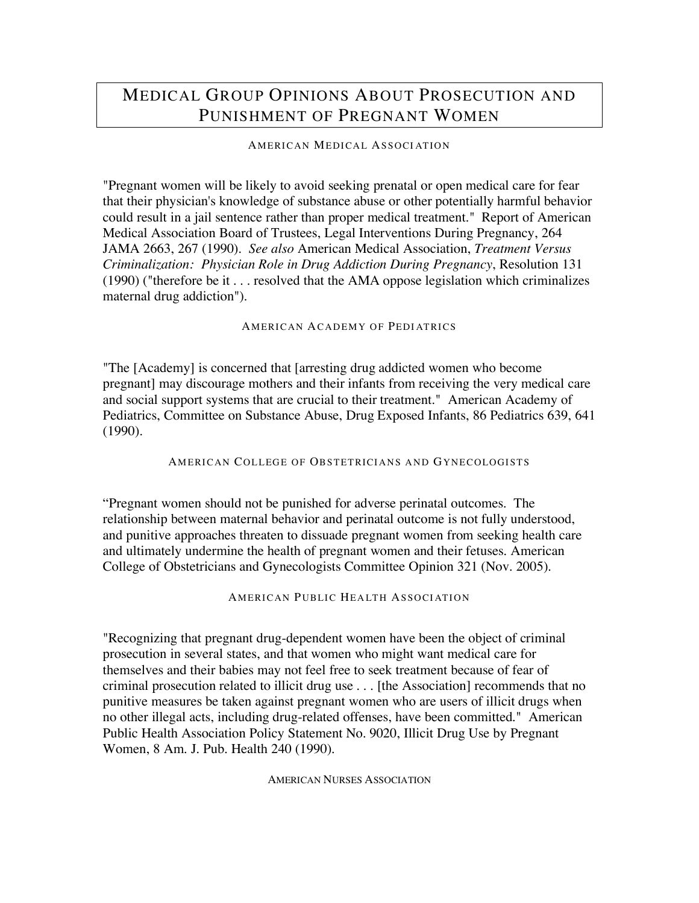# MEDICAL GROUP OPINIONS ABOUT PROSECUTION AND PUNISHMENT OF PREGNANT WOMEN

## AMERICAN MEDICAL ASSOCI ATION

"Pregnant women will be likely to avoid seeking prenatal or open medical care for fear that their physician's knowledge of substance abuse or other potentially harmful behavior could result in a jail sentence rather than proper medical treatment." Report of American Medical Association Board of Trustees, Legal Interventions During Pregnancy, 264 JAMA 2663, 267 (1990). *See also* American Medical Association, *Treatment Versus Criminalization: Physician Role in Drug Addiction During Pregnancy*, Resolution 131 (1990) ("therefore be it . . . resolved that the AMA oppose legislation which criminalizes maternal drug addiction").

### AMERICAN ACADEMY OF PEDI ATRICS

"The [Academy] is concerned that [arresting drug addicted women who become pregnant] may discourage mothers and their infants from receiving the very medical care and social support systems that are crucial to their treatment." American Academy of Pediatrics, Committee on Substance Abuse, Drug Exposed Infants, 86 Pediatrics 639, 641 (1990).

#### AMERICAN COLLEGE OF OBSTETRICIANS AND GYNECOLOGISTS

"Pregnant women should not be punished for adverse perinatal outcomes. The relationship between maternal behavior and perinatal outcome is not fully understood, and punitive approaches threaten to dissuade pregnant women from seeking health care and ultimately undermine the health of pregnant women and their fetuses. American College of Obstetricians and Gynecologists Committee Opinion 321 (Nov. 2005).

AMERICAN PUBLIC HEALTH ASSOCIATION

"Recognizing that pregnant drug-dependent women have been the object of criminal prosecution in several states, and that women who might want medical care for themselves and their babies may not feel free to seek treatment because of fear of criminal prosecution related to illicit drug use . . . [the Association] recommends that no punitive measures be taken against pregnant women who are users of illicit drugs when no other illegal acts, including drug-related offenses, have been committed." American Public Health Association Policy Statement No. 9020, Illicit Drug Use by Pregnant Women, 8 Am. J. Pub. Health 240 (1990).

AMERICAN NURSES ASSOCIATION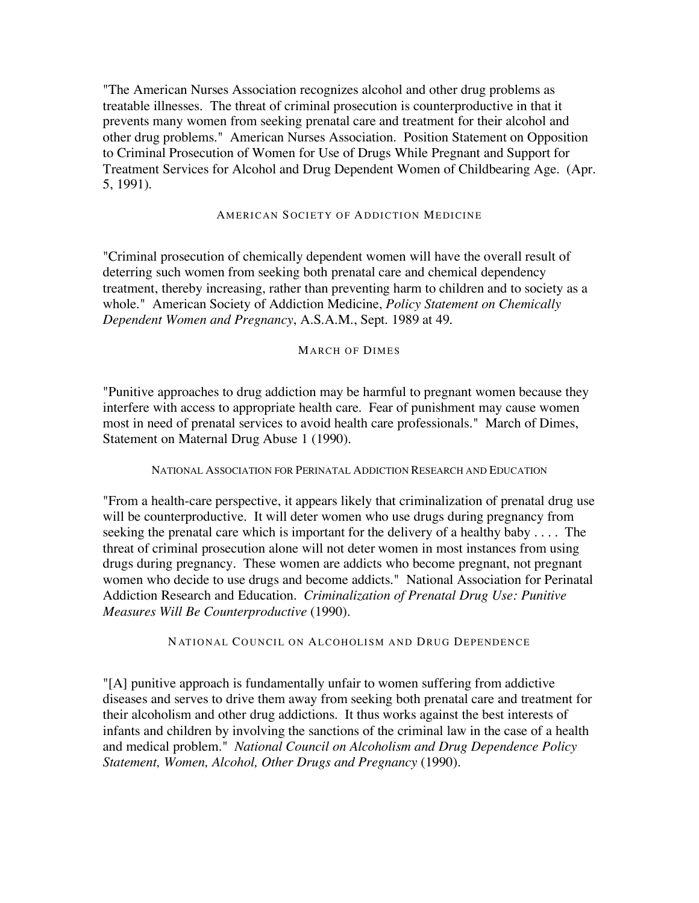"The American Nurses Association recognizes alcohol and other drug problems as treatable illnesses. The threat of criminal prosecution is counterproductive in that it prevents many women from seeking prenatal care and treatment for their alcohol and other drug problems." American Nurses Association. Position Statement on Opposition to Criminal Prosecution of Women for Use of Drugs While Pregnant and Support for Treatment Services for Alcohol and Drug Dependent Women of Childbearing Age. (Apr. 5, 1991).

#### AMERICAN SOCIETY OF ADDICTION MEDICINE

"Criminal prosecution of chemically dependent women will have the overall result of deterring such women from seeking both prenatal care and chemical dependency treatment, thereby increasing, rather than preventing harm to children and to society as a whole." American Society of Addiction Medicine, *Policy Statement on Chemically Dependent Women and Pregnancy*, A.S.A.M., Sept. 1989 at 49.

#### MARCH OF DIMES

"Punitive approaches to drug addiction may be harmful to pregnant women because they interfere with access to appropriate health care. Fear of punishment may cause women most in need of prenatal services to avoid health care professionals." March of Dimes, Statement on Maternal Drug Abuse 1 (1990).

NATIONAL ASSOCIATION FOR PERINATAL ADDICTION RESEARCH AND EDUCATION

"From a health-care perspective, it appears likely that criminalization of prenatal drug use will be counterproductive. It will deter women who use drugs during pregnancy from seeking the prenatal care which is important for the delivery of a healthy baby . . . . The threat of criminal prosecution alone will not deter women in most instances from using drugs during pregnancy. These women are addicts who become pregnant, not pregnant women who decide to use drugs and become addicts." National Association for Perinatal Addiction Research and Education. *Criminalization of Prenatal Drug Use: Punitive Measures Will Be Counterproductive* (1990).

NATIONAL COUNCIL ON ALCOHOLISM AND DRUG DEPENDENCE

"[A] punitive approach is fundamentally unfair to women suffering from addictive diseases and serves to drive them away from seeking both prenatal care and treatment for their alcoholism and other drug addictions. It thus works against the best interests of infants and children by involving the sanctions of the criminal law in the case of a health and medical problem." *National Council on Alcoholism and Drug Dependence Policy Statement, Women, Alcohol, Other Drugs and Pregnancy* (1990).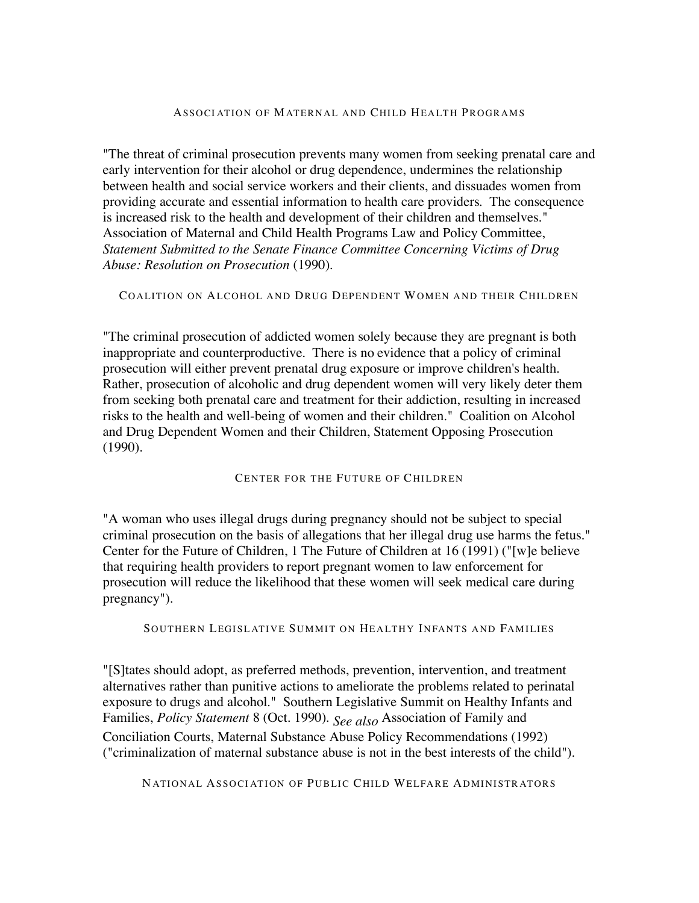#### ASSOCIATION OF MATERNAL AND CHILD HEALTH PROGRAMS

"The threat of criminal prosecution prevents many women from seeking prenatal care and early intervention for their alcohol or drug dependence, undermines the relationship between health and social service workers and their clients, and dissuades women from providing accurate and essential information to health care providers. The consequence is increased risk to the health and development of their children and themselves." Association of Maternal and Child Health Programs Law and Policy Committee, *Statement Submitted to the Senate Finance Committee Concerning Victims of Drug Abuse: Resolution on Prosecution* (1990).

COALITION ON ALCOHOL AND DRUG DEPENDENT WOMEN AND THEIR CHILDREN

"The criminal prosecution of addicted women solely because they are pregnant is both inappropriate and counterproductive. There is no evidence that a policy of criminal prosecution will either prevent prenatal drug exposure or improve children's health. Rather, prosecution of alcoholic and drug dependent women will very likely deter them from seeking both prenatal care and treatment for their addiction, resulting in increased risks to the health and well-being of women and their children." Coalition on Alcohol and Drug Dependent Women and their Children, Statement Opposing Prosecution (1990).

CENTER FOR THE FUTURE OF CHILDREN

"A woman who uses illegal drugs during pregnancy should not be subject to special criminal prosecution on the basis of allegations that her illegal drug use harms the fetus." Center for the Future of Children, 1 The Future of Children at 16 (1991) ("[w]e believe that requiring health providers to report pregnant women to law enforcement for prosecution will reduce the likelihood that these women will seek medical care during pregnancy").

SOUTHERN LEGISLATIVE SUMMIT ON HEALTHY INFANTS AND FAMILIES

"[S]tates should adopt, as preferred methods, prevention, intervention, and treatment alternatives rather than punitive actions to ameliorate the problems related to perinatal exposure to drugs and alcohol." Southern Legislative Summit on Healthy Infants and Families, *Policy Statement* 8 (Oct. 1990). *See also* Association of Family and Conciliation Courts, Maternal Substance Abuse Policy Recommendations (1992) ("criminalization of maternal substance abuse is not in the best interests of the child").

NATIONAL ASSOCIATION OF PUBLIC CHILD WELFARE ADMINISTRATORS